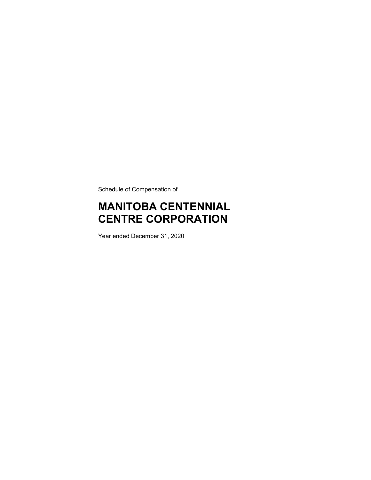Schedule of Compensation of

# **MANITOBA CENTENNIAL CENTRE CORPORATION**

Year ended December 31, 2020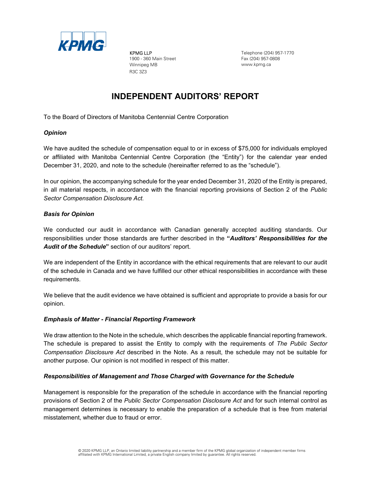

KPMG LLP 1900 - 360 Main Street Winnipeg MB R3C 3Z3

Telephone (204) 957-1770 Fax (204) 957-0808 www.kpmg.ca

## **INDEPENDENT AUDITORS' REPORT**

To the Board of Directors of Manitoba Centennial Centre Corporation

#### *Opinion*

We have audited the schedule of compensation equal to or in excess of \$75,000 for individuals employed or affiliated with Manitoba Centennial Centre Corporation (the "Entity") for the calendar year ended December 31, 2020, and note to the schedule (hereinafter referred to as the "schedule").

In our opinion, the accompanying schedule for the year ended December 31, 2020 of the Entity is prepared, in all material respects, in accordance with the financial reporting provisions of Section 2 of the *Public Sector Compensation Disclosure Act.*

#### *Basis for Opinion*

We conducted our audit in accordance with Canadian generally accepted auditing standards. Our responsibilities under those standards are further described in the **"***Auditors' Responsibilities for the Audit of the Schedule***"** section of our auditors' report.

We are independent of the Entity in accordance with the ethical requirements that are relevant to our audit of the schedule in Canada and we have fulfilled our other ethical responsibilities in accordance with these requirements.

We believe that the audit evidence we have obtained is sufficient and appropriate to provide a basis for our opinion.

#### *Emphasis of Matter - Financial Reporting Framework*

We draw attention to the Note in the schedule, which describes the applicable financial reporting framework. The schedule is prepared to assist the Entity to comply with the requirements of *The Public Sector Compensation Disclosure Act* described in the Note. As a result, the schedule may not be suitable for another purpose. Our opinion is not modified in respect of this matter.

#### *Responsibilities of Management and Those Charged with Governance for the Schedule*

Management is responsible for the preparation of the schedule in accordance with the financial reporting provisions of Section 2 of the *Public Sector Compensation Disclosure Act* and for such internal control as management determines is necessary to enable the preparation of a schedule that is free from material misstatement, whether due to fraud or error.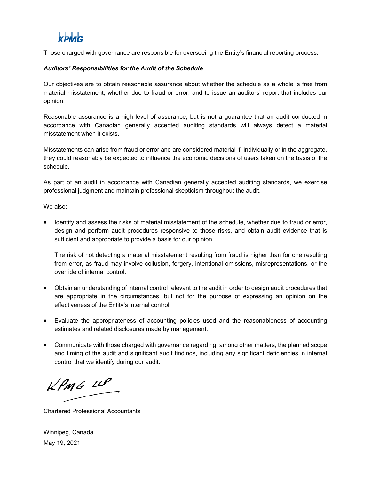

Those charged with governance are responsible for overseeing the Entity's financial reporting process.

#### *Auditors' Responsibilities for the Audit of the Schedule*

Our objectives are to obtain reasonable assurance about whether the schedule as a whole is free from material misstatement, whether due to fraud or error, and to issue an auditors' report that includes our opinion.

Reasonable assurance is a high level of assurance, but is not a guarantee that an audit conducted in accordance with Canadian generally accepted auditing standards will always detect a material misstatement when it exists.

Misstatements can arise from fraud or error and are considered material if, individually or in the aggregate, they could reasonably be expected to influence the economic decisions of users taken on the basis of the schedule.

As part of an audit in accordance with Canadian generally accepted auditing standards, we exercise professional judgment and maintain professional skepticism throughout the audit.

We also:

 Identify and assess the risks of material misstatement of the schedule, whether due to fraud or error, design and perform audit procedures responsive to those risks, and obtain audit evidence that is sufficient and appropriate to provide a basis for our opinion.

The risk of not detecting a material misstatement resulting from fraud is higher than for one resulting from error, as fraud may involve collusion, forgery, intentional omissions, misrepresentations, or the override of internal control.

- Obtain an understanding of internal control relevant to the audit in order to design audit procedures that are appropriate in the circumstances, but not for the purpose of expressing an opinion on the effectiveness of the Entity's internal control.
- Evaluate the appropriateness of accounting policies used and the reasonableness of accounting estimates and related disclosures made by management.
- Communicate with those charged with governance regarding, among other matters, the planned scope and timing of the audit and significant audit findings, including any significant deficiencies in internal control that we identify during our audit.

 $KPMS$   $\mu P$ 

Chartered Professional Accountants

Winnipeg, Canada May 19, 2021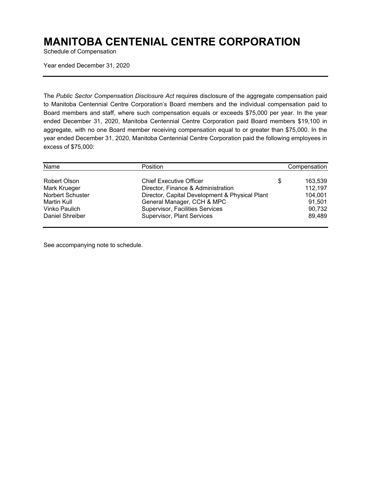## **MANITOBA CENTENIAL CENTRE CORPORATION**

Schedule of Compensation

Year ended December 31, 2020

The *Public Sector Compensation Disclosure Act* requires disclosure of the aggregate compensation paid to Manitoba Centennial Centre Corporation's Board members and the individual compensation paid to Board members and staff, where such compensation equals or exceeds \$75,000 per year. In the year ended December 31, 2020, Manitoba Centennial Centre Corporation paid Board members \$19,100 in aggregate, with no one Board member receiving compensation equal to or greater than \$75,000. In the year ended December 31, 2020, Manitoba Centennial Centre Corporation paid the following employees in excess of \$75,000:

| Name             | Position                                       |   | Compensation |
|------------------|------------------------------------------------|---|--------------|
| Robert Olson     | <b>Chief Executive Officer</b>                 | S | 163.539      |
| Mark Krueger     | Director, Finance & Administration             |   | 112,197      |
| Norbert Schuster | Director, Capital Development & Physical Plant |   | 104,001      |
| Martin Kull      | General Manager, CCH & MPC                     |   | 91.501       |
| Vinko Paulich    | Supervisor, Facilities Services                |   | 90,732       |
| Daniel Shreiber  | Supervisor, Plant Services                     |   | 89,489       |

See accompanying note to schedule.